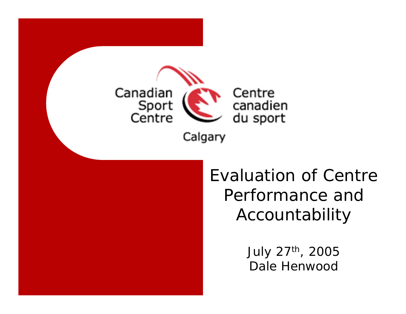

Evaluation of Centre Performance and Accountability

> July 27th, 2005 Dale Henwood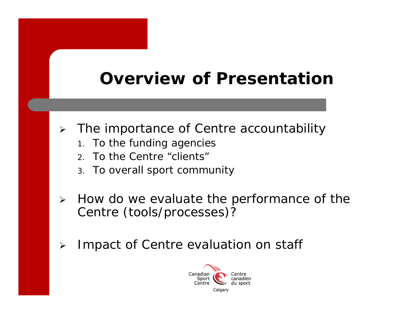# **Overview of Presentation**

- ¾ The importance of Centre accountability
	- 1. To the funding agencies
	- 2. To the Centre "clients"
	- 3. To overall sport community
- $\blacktriangleright$  How do we evaluate the performance of the Centre (tools/processes)?
- $\blacktriangleright$ Impact of Centre evaluation on staff

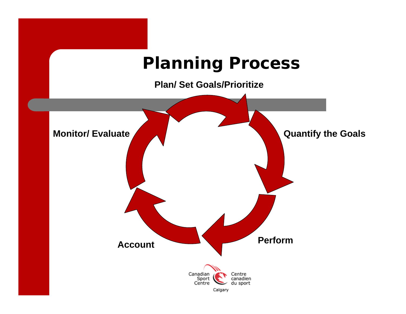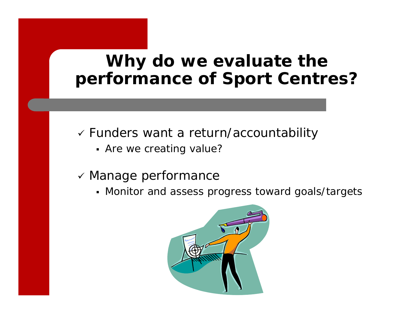## **Why do we evaluate the performance of Sport Centres?**

- 9 Funders want a return/accountability
	- Are we creating value?
- $\checkmark$  Manage performance
	- Monitor and assess progress toward goals/targets

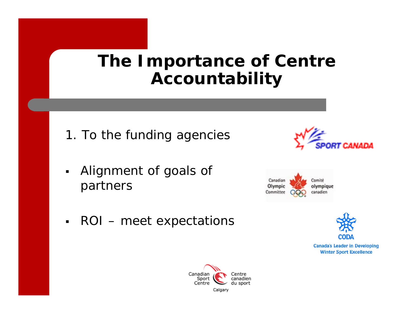## **The Importance of Centre Accountability**

- 1. To the funding agencies
- $\blacksquare$  Alignment of goals of partners







 $\blacksquare$ ROI – meet expectations



**Canada's Leader in Developing Winter Sport Excellence** 

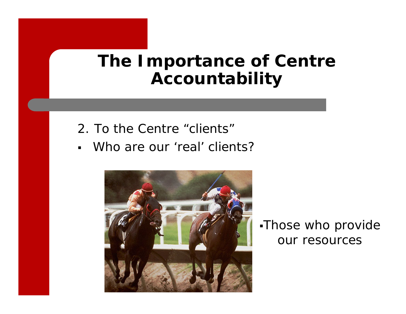## **The Importance of Centre Accountability**

- 2. To the Centre "clients"
- $\blacksquare$ Who are our 'real' clients?



Those who provide our resources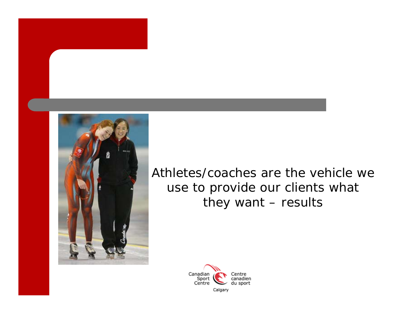

*Athletes/coaches are the vehicle we use to provide our clients what they want – results*

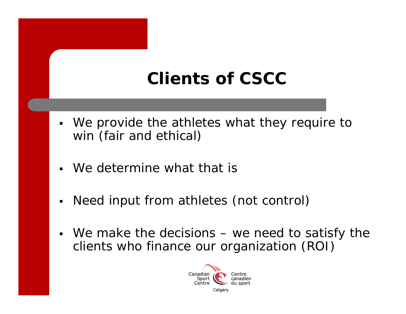## **Clients of CSCC**

- $\blacksquare$ We provide the athletes what they require to win (fair and ethical)
- $\blacksquare$ We determine what that is
- $\blacksquare$ Need input from athletes (not control)
- We make the decisions – we need to satisfy the clients who finance our organization (ROI)

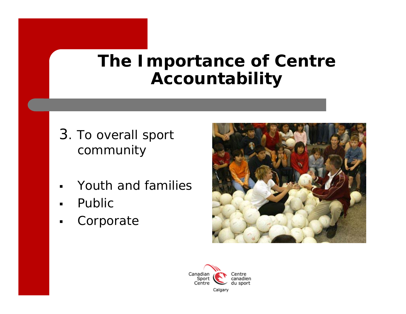## **The Importance of Centre Accountability**

- 3. To overall sport community
- Youth and families
- $\blacksquare$ Public
- $\blacksquare$ Corporate



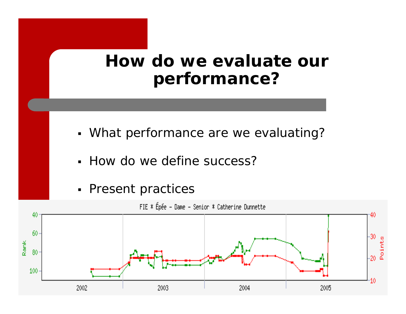## **How do we evaluate our performance?**

- What performance are we evaluating?
- How do we define success?
- **Present practices**



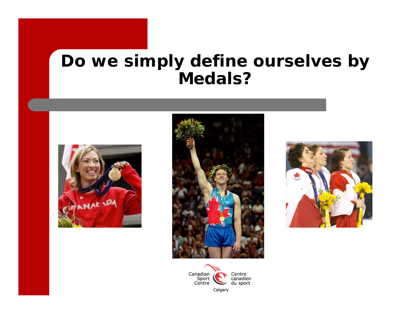### **Do we simply define ourselves by Medals?**







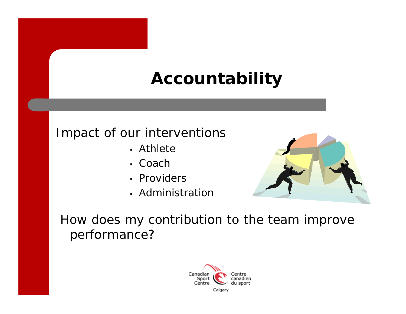## **Accountability**

#### Impact of our interventions

- Athlete
- Coach
- Providers
- Administration



*How does my contribution to the team improve performance?*

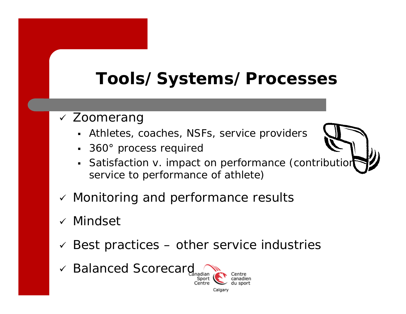# **Tools/Systems/Processes**

- v Zoomerang
	- Athletes, coaches, NSFs, service providers
	- 360° process required
	- Satisfaction v. impact on performance (contribution service to performance of athlete)

Calgar

- $\checkmark$  Monitoring and performance results
- √ Mindset
- $\checkmark$ Best practices – other service industries
- 9 Balanced Scorecard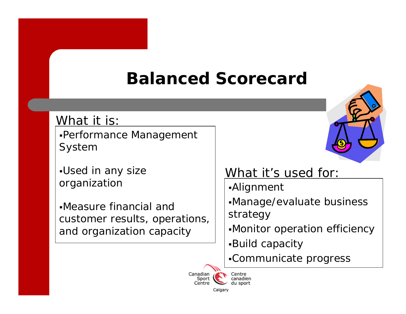# **Balanced Scorecard**

#### What it is:

Performance Management System

Used in any size organization

Measure financial and customer results, operations, and organization capacity



#### What it's used for:

- Alignment
- Manage/evaluate business strategy
- Monitor operation efficiency
- Build capacity
- Communicate progress

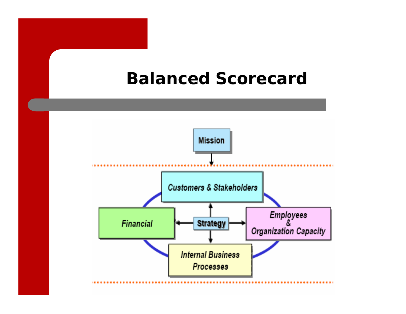## **Balanced Scorecard**

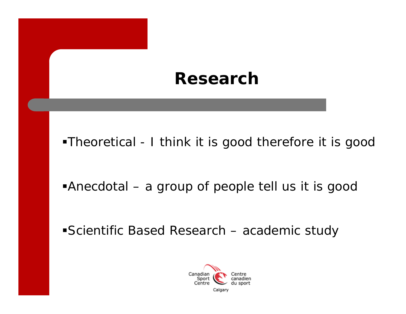#### **Research**

Theoretical - I think it is good therefore it is good

Anecdotal – a group of people tell us it is good

Scientific Based Research – academic study

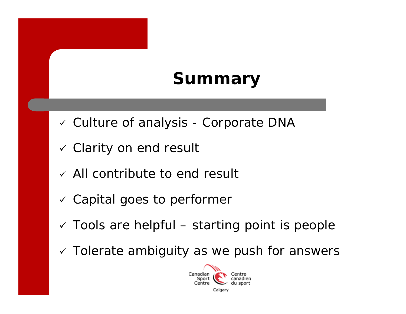# **Summary**

- v Culture of analysis Corporate DNA
- $\checkmark$  Clarity on end result
- $\checkmark$  All contribute to end result
- $\checkmark$  Capital goes to performer
- $\checkmark$  Tools are helpful starting point is people
- $\checkmark$  Tolerate ambiguity as we push for answers

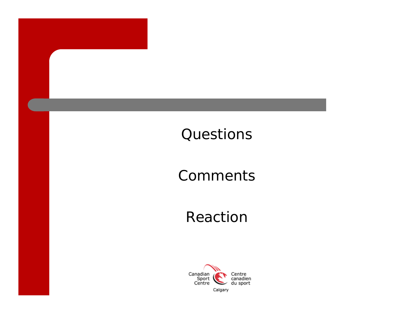#### Questions

#### Comments

#### Reaction